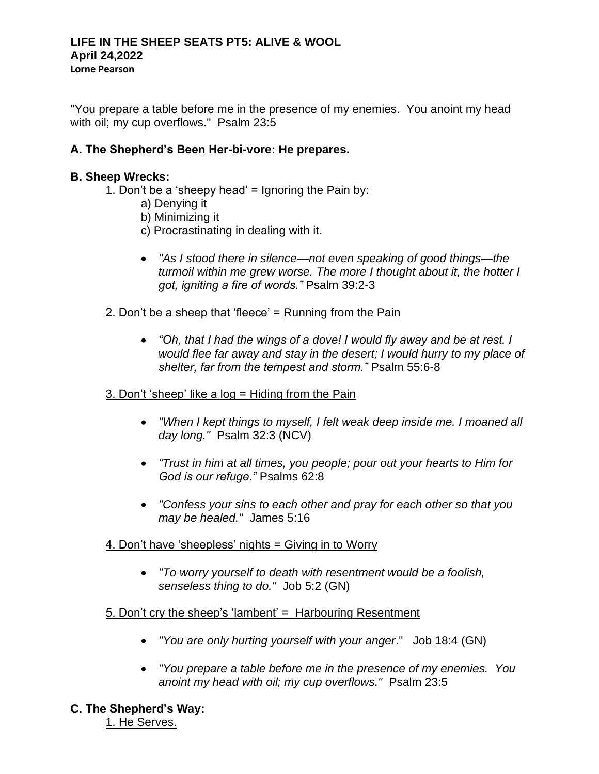"You prepare a table before me in the presence of my enemies. You anoint my head with oil; my cup overflows." Psalm 23:5

# **A. The Shepherd's Been Her-bi-vore: He prepares.**

### **B. Sheep Wrecks:**

- 1. Don't be a 'sheepy head' = Ignoring the Pain by:
	- a) Denying it
	- b) Minimizing it
	- c) Procrastinating in dealing with it.
	- *"As I stood there in silence—not even speaking of good things—the turmoil within me grew worse. The more I thought about it, the hotter I got, igniting a fire of words."* Psalm 39:2-3
- 2. Don't be a sheep that 'fleece' = Running from the Pain
	- *"Oh, that I had the wings of a dove! I would fly away and be at rest. I would flee far away and stay in the desert; I would hurry to my place of shelter, far from the tempest and storm."* Psalm 55:6-8

#### 3. Don't 'sheep' like a log = Hiding from the Pain

- *"When I kept things to myself, I felt weak deep inside me. I moaned all day long."* Psalm 32:3 (NCV)
- *"Trust in him at all times, you people; pour out your hearts to Him for God is our refuge."* Psalms 62:8
- *"Confess your sins to each other and pray for each other so that you may be healed."* James 5:16
- 4. Don't have 'sheepless' nights = Giving in to Worry
	- *"To worry yourself to death with resentment would be a foolish, senseless thing to do."* Job 5:2 (GN)

#### 5. Don't cry the sheep's 'lambent' = Harbouring Resentment

- *"You are only hurting yourself with your anger*." Job 18:4 (GN)
- *"You prepare a table before me in the presence of my enemies. You anoint my head with oil; my cup overflows."* Psalm 23:5
- **C. The Shepherd's Way:**

1. He Serves.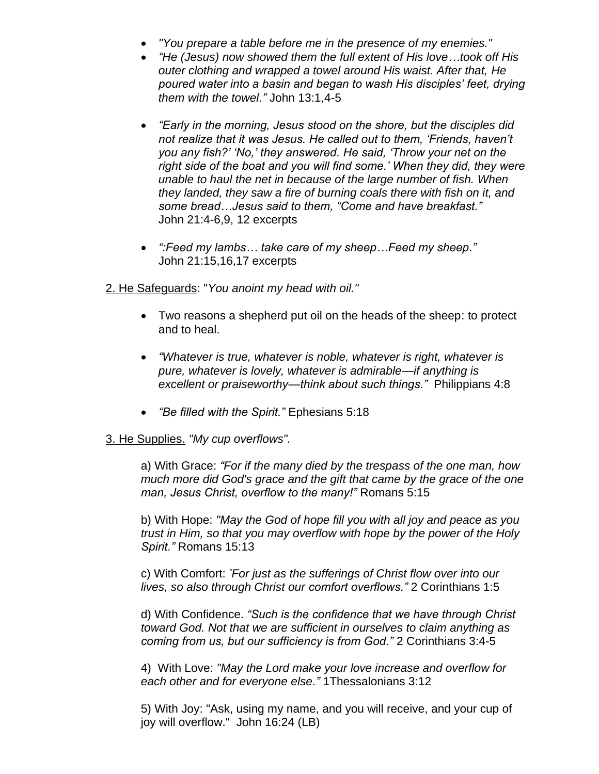- *"You prepare a table before me in the presence of my enemies."*
- *"He (Jesus) now showed them the full extent of His love…took off His outer clothing and wrapped a towel around His waist. After that, He poured water into a basin and began to wash His disciples' feet, drying them with the towel."* John 13:1,4-5
- *"Early in the morning, Jesus stood on the shore, but the disciples did not realize that it was Jesus. He called out to them, 'Friends, haven't you any fish?' 'No,' they answered. He said, 'Throw your net on the right side of the boat and you will find some.' When they did, they were unable to haul the net in because of the large number of fish. When they landed, they saw a fire of burning coals there with fish on it, and some bread…Jesus said to them, "Come and have breakfast."* John 21:4-6,9, 12 excerpts
- *":Feed my lambs… take care of my sheep…Feed my sheep."* John 21:15,16,17 excerpts

2. He Safeguards: "*You anoint my head with oil."* 

- Two reasons a shepherd put oil on the heads of the sheep: to protect and to heal.
- *"Whatever is true, whatever is noble, whatever is right, whatever is pure, whatever is lovely, whatever is admirable—if anything is excellent or praiseworthy—think about such things."* Philippians 4:8
- *"Be filled with the Spirit."* Ephesians 5:18

## 3. He Supplies. *"My cup overflows".*

a) With Grace: *"For if the many died by the trespass of the one man, how much more did God's grace and the gift that came by the grace of the one man, Jesus Christ, overflow to the many!"* Romans 5:15

b) With Hope: *"May the God of hope fill you with all joy and peace as you trust in Him, so that you may overflow with hope by the power of the Holy Spirit."* Romans 15:13

c) With Comfort: *"For just as the sufferings of Christ flow over into our lives, so also through Christ our comfort overflows."* 2 Corinthians 1:5

d) With Confidence. *"Such is the confidence that we have through Christ toward God. Not that we are sufficient in ourselves to claim anything as coming from us, but our sufficiency is from God."* 2 Corinthians 3:4-5

4) With Love: *"May the Lord make your love increase and overflow for each other and for everyone else."* 1Thessalonians 3:12

5) With Joy: "Ask, using my name, and you will receive, and your cup of joy will overflow." John 16:24 (LB)